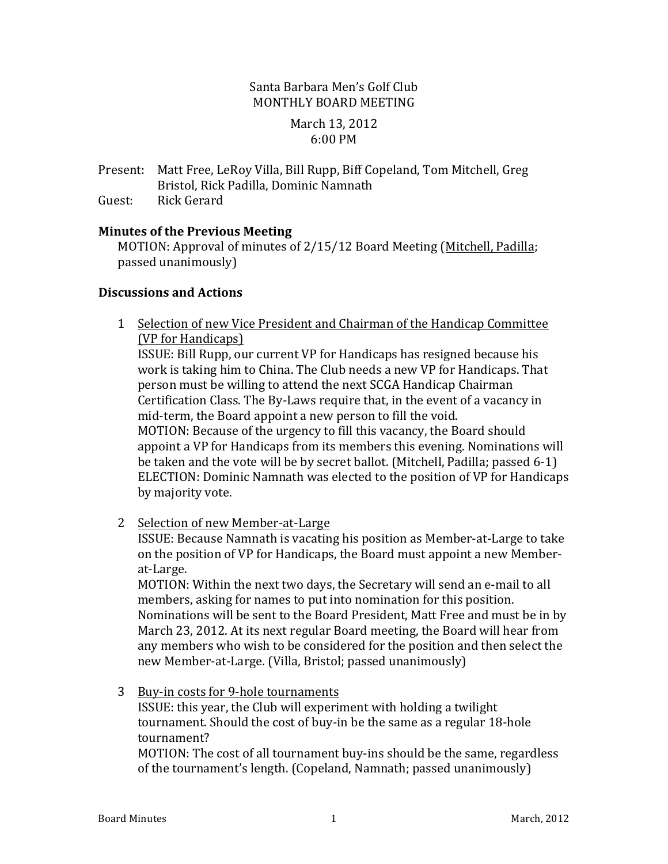## Santa Barbara Men's Golf Club MONTHLY BOARD MEETING

### March 13, 2012 6:00 PM

Present: Matt Free, LeRoy Villa, Bill Rupp, Biff Copeland, Tom Mitchell, Greg Bristol, Rick Padilla, Dominic Namnath

Guest: Rick Gerard

## **Minutes of the Previous Meeting**

MOTION: Approval of minutes of 2/15/12 Board Meeting (Mitchell, Padilla; passed unanimously)

## **Discussions and Actions**

1 Selection of new Vice President and Chairman of the Handicap Committee (VP for Handicaps) ISSUE: Bill Rupp, our current VP for Handicaps has resigned because his work is taking him to China. The Club needs a new VP for Handicaps. That

person must be willing to attend the next SCGA Handicap Chairman Certification Class. The By-Laws require that, in the event of a vacancy in mid-term, the Board appoint a new person to fill the void. MOTION: Because of the urgency to fill this vacancy, the Board should appoint a VP for Handicaps from its members this evening. Nominations will be taken and the vote will be by secret ballot. (Mitchell, Padilla; passed  $6-1$ ) ELECTION: Dominic Namnath was elected to the position of VP for Handicaps by majority vote.

2 Selection of new Member-at-Large

ISSUE: Because Namnath is vacating his position as Member-at-Large to take on the position of VP for Handicaps, the Board must appoint a new Memberat-Large.

MOTION: Within the next two days, the Secretary will send an e-mail to all members, asking for names to put into nomination for this position. Nominations will be sent to the Board President, Matt Free and must be in by March 23, 2012. At its next regular Board meeting, the Board will hear from any members who wish to be considered for the position and then select the new Member-at-Large. (Villa, Bristol; passed unanimously)

3 Buy-in costs for 9-hole tournaments

ISSUE: this year, the Club will experiment with holding a twilight tournament. Should the cost of buy-in be the same as a regular 18-hole tournament?

MOTION: The cost of all tournament buy-ins should be the same, regardless of the tournament's length. (Copeland, Namnath; passed unanimously)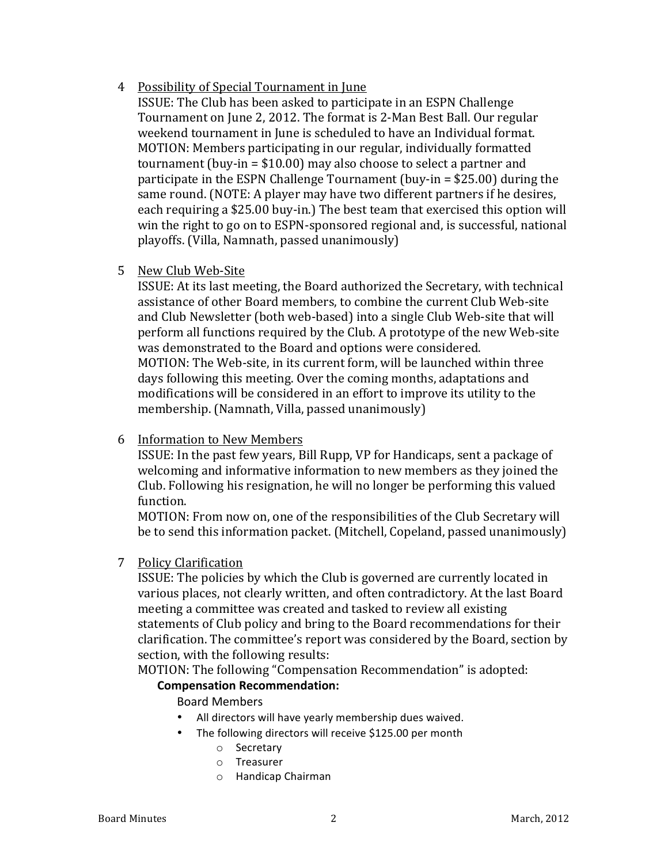## 4 Possibility of Special Tournament in June

ISSUE: The Club has been asked to participate in an ESPN Challenge Tournament on June 2, 2012. The format is 2-Man Best Ball. Our regular weekend tournament in June is scheduled to have an Individual format. MOTION: Members participating in our regular, individually formatted tournament (buy-in  $= $10.00$ ) may also choose to select a partner and participate in the ESPN Challenge Tournament (buy-in  $=$  \$25.00) during the same round. (NOTE: A player may have two different partners if he desires, each requiring a \$25.00 buy-in.) The best team that exercised this option will win the right to go on to ESPN-sponsored regional and, is successful, national playoffs. (Villa, Namnath, passed unanimously)

## 5 New Club Web-Site

ISSUE: At its last meeting, the Board authorized the Secretary, with technical assistance of other Board members, to combine the current Club Web-site and Club Newsletter (both web-based) into a single Club Web-site that will perform all functions required by the Club. A prototype of the new Web-site was demonstrated to the Board and options were considered. MOTION: The Web-site, in its current form, will be launched within three days following this meeting. Over the coming months, adaptations and modifications will be considered in an effort to improve its utility to the  $m$ embership. (Namnath, Villa, passed unanimously)

## 6 Information to New Members

ISSUE: In the past few years, Bill Rupp, VP for Handicaps, sent a package of welcoming and informative information to new members as they joined the Club. Following his resignation, he will no longer be performing this valued function.

MOTION: From now on, one of the responsibilities of the Club Secretary will be to send this information packet. (Mitchell, Copeland, passed unanimously)

### 7 Policy Clarification

ISSUE: The policies by which the Club is governed are currently located in various places, not clearly written, and often contradictory. At the last Board meeting a committee was created and tasked to review all existing statements of Club policy and bring to the Board recommendations for their clarification. The committee's report was considered by the Board, section by section, with the following results:

MOTION: The following "Compensation Recommendation" is adopted:

## **Compensation Recommendation:**

Board Members

- All directors will have yearly membership dues waived.
- The following directors will receive \$125.00 per month
	- o Secretary
	- o Treasurer
	- o Handicap Chairman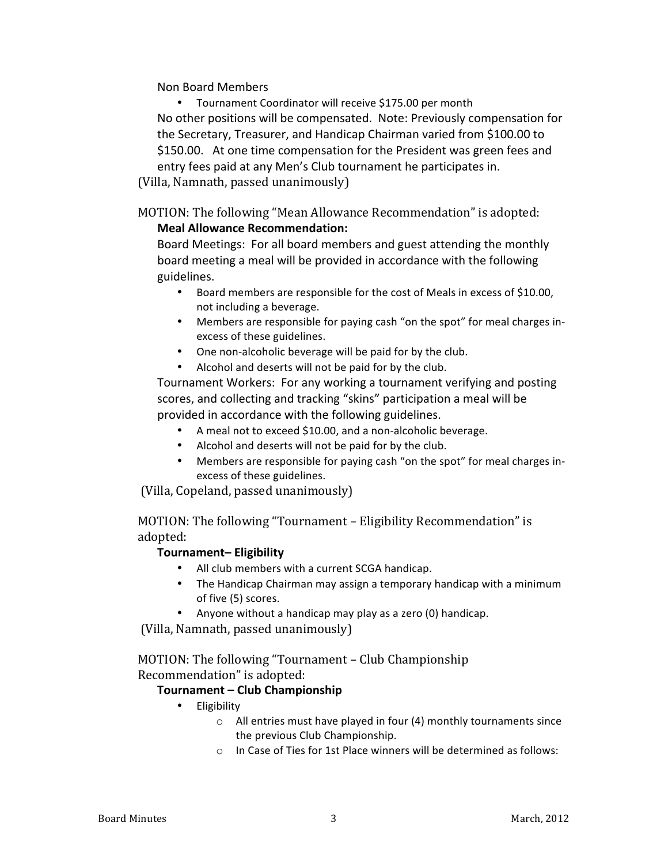Non Board Members

Tournament Coordinator will receive \$175.00 per month No other positions will be compensated. Note: Previously compensation for the Secretary, Treasurer, and Handicap Chairman varied from \$100.00 to \$150.00. At one time compensation for the President was green fees and entry fees paid at any Men's Club tournament he participates in. (Villa, Namnath, passed unanimously)

MOTION: The following "Mean Allowance Recommendation" is adopted:

### **Meal Allowance Recommendation:**

Board Meetings: For all board members and guest attending the monthly board meeting a meal will be provided in accordance with the following guidelines.

- Board members are responsible for the cost of Meals in excess of \$10.00, not including a beverage.
- Members are responsible for paying cash "on the spot" for meal charges inexcess of these guidelines.
- One non-alcoholic beverage will be paid for by the club.
- Alcohol and deserts will not be paid for by the club.

Tournament Workers: For any working a tournament verifying and posting scores, and collecting and tracking "skins" participation a meal will be provided in accordance with the following guidelines.

- A meal not to exceed \$10.00, and a non-alcoholic beverage.
- Alcohol and deserts will not be paid for by the club.
- Members are responsible for paying cash "on the spot" for meal charges inexcess of these guidelines.

(Villa, Copeland, passed unanimously)

MOTION: The following "Tournament - Eligibility Recommendation" is adopted:

### **Tournament– Eligibility**

- All club members with a current SCGA handicap.
- The Handicap Chairman may assign a temporary handicap with a minimum of five (5) scores.
- Anyone without a handicap may play as a zero (0) handicap.

(Villa, Namnath, passed unanimously)

MOTION: The following "Tournament - Club Championship Recommendation" is adopted:

## **Tournament – Club Championship**

- Eligibility
	- $\circ$  All entries must have played in four (4) monthly tournaments since the previous Club Championship.
	- $\circ$  In Case of Ties for 1st Place winners will be determined as follows: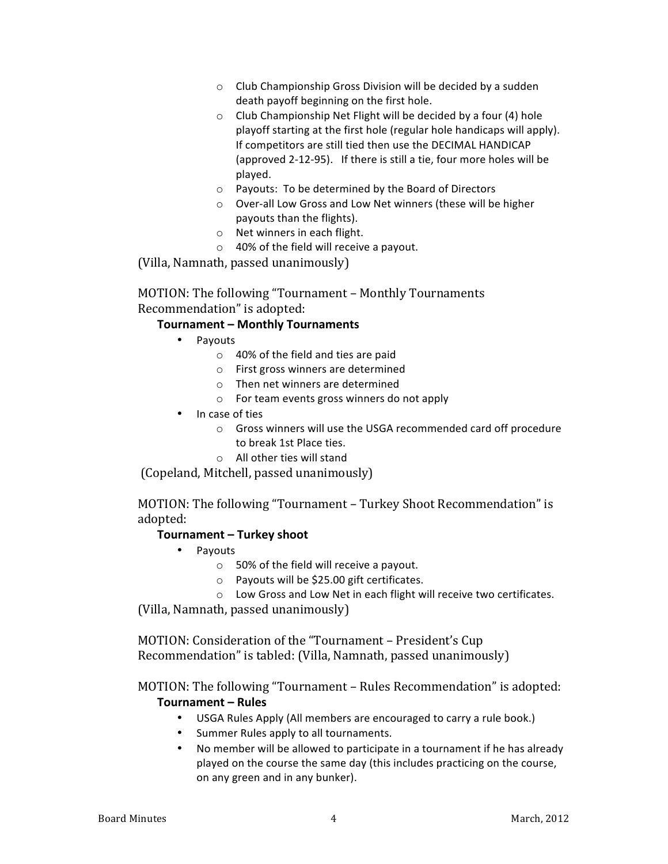- $\circ$  Club Championship Gross Division will be decided by a sudden death payoff beginning on the first hole.
- $\circ$  Club Championship Net Flight will be decided by a four (4) hole playoff starting at the first hole (regular hole handicaps will apply). If competitors are still tied then use the DECIMAL HANDICAP (approved 2-12-95). If there is still a tie, four more holes will be played.
- o Payouts: To be determined by the Board of Directors
- o Over-all Low Gross and Low Net winners (these will be higher payouts than the flights).
- $\circ$  Net winners in each flight.
- $\circ$  40% of the field will receive a payout.

 $(Villa, Namnath, passed unanimously)$ 

### MOTION: The following "Tournament - Monthly Tournaments Recommendation" is adopted:

### **Tournament - Monthly Tournaments**

- Payouts
	- $\circ$  40% of the field and ties are paid
	- $\circ$  First gross winners are determined
	- $\circ$  Then net winners are determined
	- $\circ$  For team events gross winners do not apply
- In case of ties
	- $\circ$  Gross winners will use the USGA recommended card off procedure to break 1st Place ties.
	- $\circ$  All other ties will stand

(Copeland, Mitchell, passed unanimously)

MOTION: The following "Tournament - Turkey Shoot Recommendation" is adopted:

### **Tournament – Turkey shoot**

- Payouts
	- $\circ$  50% of the field will receive a payout.
	- $\circ$  Payouts will be \$25.00 gift certificates.
	- o Low Gross and Low Net in each flight will receive two certificates.

 $(Villa, Namnath, passed unanimously)$ 

MOTION: Consideration of the "Tournament - President's Cup Recommendation" is tabled: (Villa, Namnath, passed unanimously)

## MOTION: The following "Tournament – Rules Recommendation" is adopted: **Tournament – Rules**

- USGA Rules Apply (All members are encouraged to carry a rule book.)
- Summer Rules apply to all tournaments.
- No member will be allowed to participate in a tournament if he has already played on the course the same day (this includes practicing on the course, on any green and in any bunker).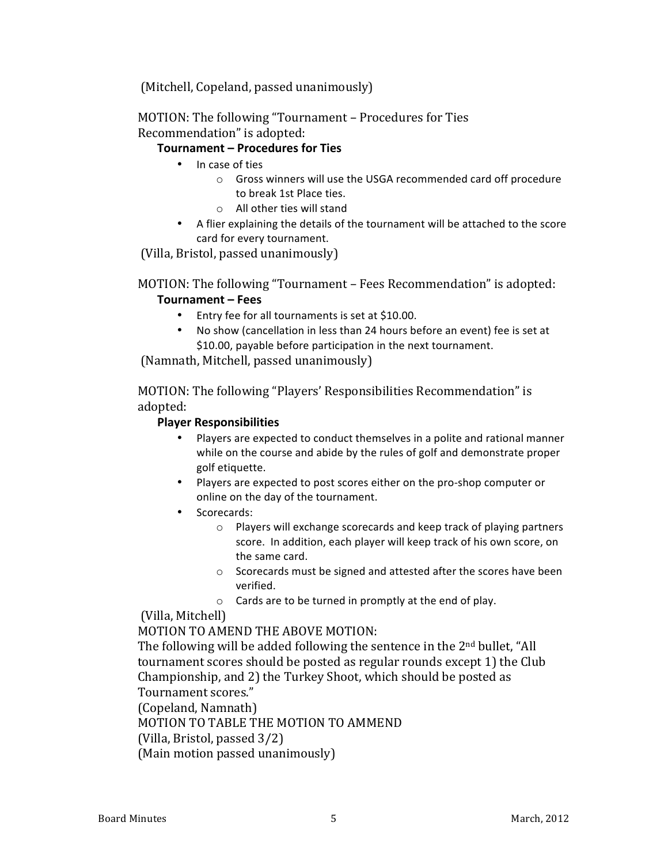(Mitchell, Copeland, passed unanimously)

MOTION: The following "Tournament – Procedures for Ties Recommendation" is adopted:

### **Tournament – Procedures for Ties**

- In case of ties
	- $\circ$  Gross winners will use the USGA recommended card off procedure to break 1st Place ties.
	- $\circ$  All other ties will stand
- A flier explaining the details of the tournament will be attached to the score card for every tournament.

(Villa, Bristol, passed unanimously)

MOTION: The following "Tournament - Fees Recommendation" is adopted:

# **Tournament – Fees**

- Entry fee for all tournaments is set at \$10.00.
- No show (cancellation in less than 24 hours before an event) fee is set at \$10.00, payable before participation in the next tournament.

(Namnath, Mitchell, passed unanimously)

MOTION: The following "Players' Responsibilities Recommendation" is adopted:

### **Player Responsibilities**

- Players are expected to conduct themselves in a polite and rational manner while on the course and abide by the rules of golf and demonstrate proper golf etiquette.
- Players are expected to post scores either on the pro-shop computer or online on the day of the tournament.
- Scorecards:
	- $\circ$  Players will exchange scorecards and keep track of playing partners score. In addition, each player will keep track of his own score, on the same card.
	- $\circ$  Scorecards must be signed and attested after the scores have been verified.
	- $\circ$  Cards are to be turned in promptly at the end of play.

## (Villa, Mitchell)

MOTION TO AMEND THE ABOVE MOTION:

The following will be added following the sentence in the  $2<sup>nd</sup>$  bullet, "All tournament scores should be posted as regular rounds except 1) the Club Championship, and 2) the Turkey Shoot, which should be posted as Tournament scores."

(Copeland, Namnath)

MOTION TO TABLE THE MOTION TO AMMEND

(Villa, Bristol, passed  $3/2$ )

(Main motion passed unanimously)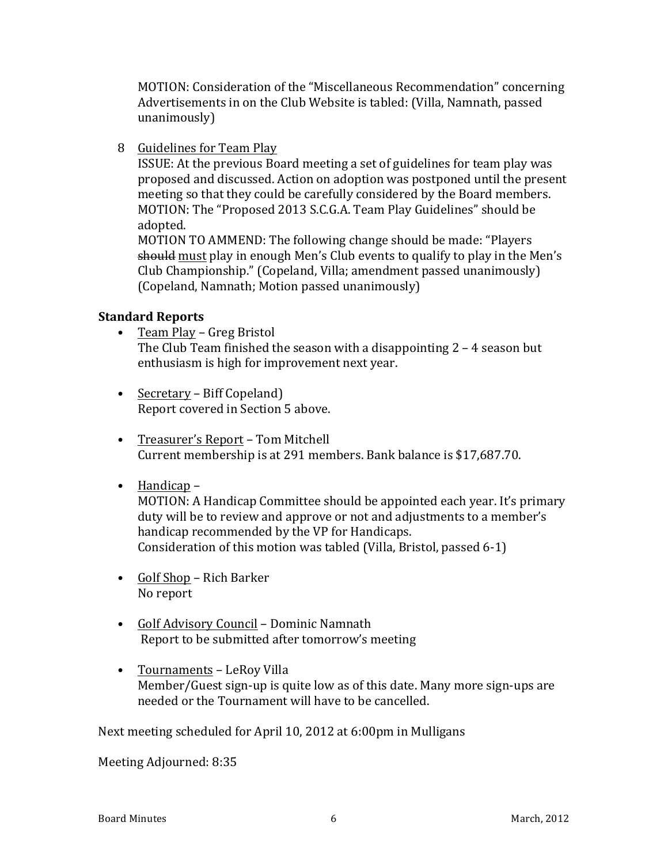MOTION: Consideration of the "Miscellaneous Recommendation" concerning Advertisements in on the Club Website is tabled: (Villa, Namnath, passed unanimously)

8 Guidelines for Team Play

ISSUE: At the previous Board meeting a set of guidelines for team play was proposed and discussed. Action on adoption was postponed until the present meeting so that they could be carefully considered by the Board members. MOTION: The "Proposed 2013 S.C.G.A. Team Play Guidelines" should be adopted.

MOTION TO AMMEND: The following change should be made: "Players should must play in enough Men's Club events to qualify to play in the Men's Club Championship." (Copeland, Villa; amendment passed unanimously) (Copeland, Namnath; Motion passed unanimously)

# **Standard Reports**

- Team Play Greg Bristol The Club Team finished the season with a disappointing  $2 - 4$  season but enthusiasm is high for improvement next year.
- Secretary Biff Copeland) Report covered in Section 5 above.
- Treasurer's Report Tom Mitchell Current membership is at 291 members. Bank balance is \$17,687.70.
- Handicap –

MOTION: A Handicap Committee should be appointed each year. It's primary duty will be to review and approve or not and adjustments to a member's handicap recommended by the VP for Handicaps. Consideration of this motion was tabled (Villa, Bristol, passed 6-1)

- Golf Shop Rich Barker No report
- Golf Advisory Council Dominic Namnath Report to be submitted after tomorrow's meeting
- Tournaments LeRoy Villa Member/Guest sign-up is quite low as of this date. Many more sign-ups are needed or the Tournament will have to be cancelled.

Next meeting scheduled for April 10, 2012 at 6:00pm in Mulligans

Meeting Adjourned: 8:35